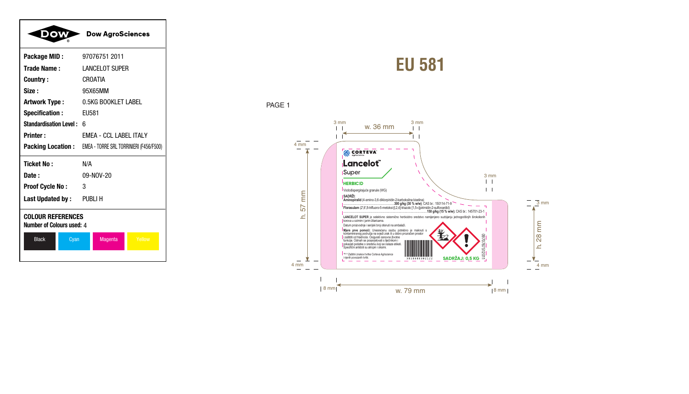



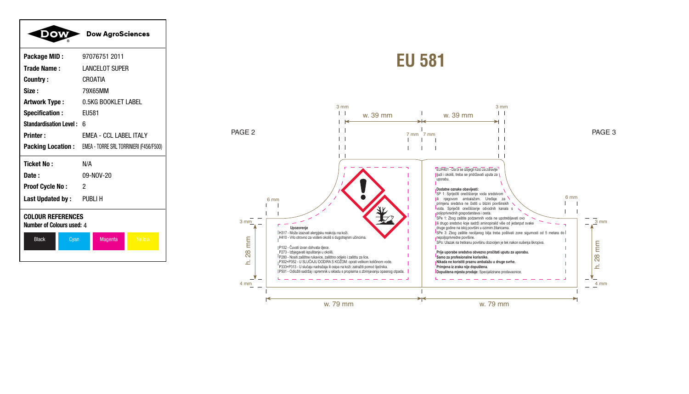|                                                       | <b>Dow AgroSciences</b>                                          |
|-------------------------------------------------------|------------------------------------------------------------------|
| Package MID:                                          | 97076751 2011                                                    |
| Trade Name:                                           | <b>LANCELOT SUPER</b>                                            |
| Country:                                              | <b>CROATIA</b>                                                   |
| Size:                                                 | 79X65MM                                                          |
| <b>Artwork Type:</b>                                  | 0.5KG BOOKLET LABEL                                              |
| <b>Specification:</b>                                 | <b>EU581</b>                                                     |
| <b>Standardisation Level:</b>                         | 6                                                                |
| <b>Printer:</b>                                       | FMFA - CCL LARFL ITALY                                           |
|                                                       | <b>Packing Location:</b> EMEA - TORRE SRL TORRINIERI (F456/F500) |
| <b>Ticket No:</b>                                     | N/A                                                              |
| Date:                                                 | 09-NOV-20                                                        |
| <b>Proof Cycle No:</b>                                | 2                                                                |
| Last Updated by: PUBLI H                              |                                                                  |
| <b>COLOUR REFERENCES</b><br>Number of Colours used: 4 |                                                                  |
| <b>Black</b><br>Cyan                                  | Yellow<br>Magenta                                                |

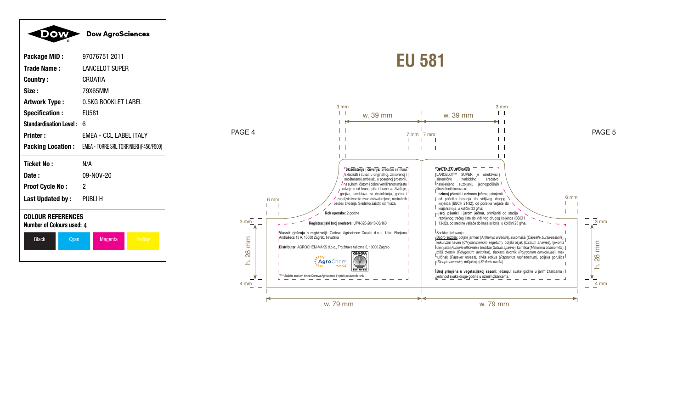|                                                       | <b>Dow AgroSciences</b>                                          |
|-------------------------------------------------------|------------------------------------------------------------------|
| Package MID:                                          | 97076751 2011                                                    |
| Trade Name:                                           | <b>LANCELOT SUPER</b>                                            |
| <b>Country:</b>                                       | <b>CROATIA</b>                                                   |
| Size:                                                 | 79X65MM                                                          |
| <b>Artwork Type:</b>                                  | 0.5KG BOOKLET LABEL                                              |
| <b>Specification:</b>                                 | EU581                                                            |
| <b>Standardisation Level: 6</b>                       |                                                                  |
| <b>Printer:</b>                                       | <b>EMEA - CCL LABEL ITALY</b>                                    |
|                                                       | <b>Packing Location:</b> EMEA - TORRE SRL TORRINIERI (F456/F500) |
| <b>Ticket No:</b>                                     | N/A                                                              |
| Date:                                                 | 09-NOV-20                                                        |
| <b>Proof Cycle No:</b>                                | 2                                                                |
| Last Updated by: PUBLI H                              |                                                                  |
| <b>COLOUR REFERENCES</b><br>Number of Colours used: 4 |                                                                  |
| <b>Black</b><br>Cyan                                  | Yellow<br><b>Magenta</b>                                         |
|                                                       |                                                                  |

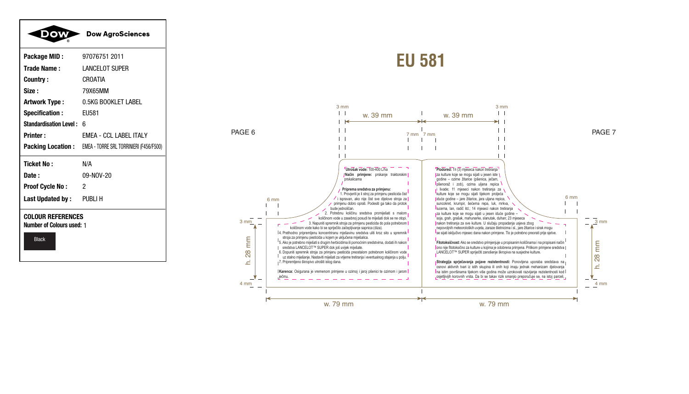|                                                              | <b>Dow AgroSciences</b>                                          |
|--------------------------------------------------------------|------------------------------------------------------------------|
| Package MID:                                                 | 97076751 2011                                                    |
| <b>Trade Name:</b>                                           | <b>LANCELOT SUPER</b>                                            |
| Country:                                                     | CROATIA                                                          |
| Size:                                                        | 79X65MM                                                          |
| Artwork Type:                                                | 0.5KG BOOKLET LABEL                                              |
| <b>Specification:</b>                                        | EU581                                                            |
| Standardisation Level: 6                                     |                                                                  |
| <b>Printer:</b>                                              | <b>EMEA - CCL LABEL ITALY</b>                                    |
|                                                              | <b>Packing Location:</b> EMEA - TORRE SRL TORRINIERI (F456/F500) |
| <b>Ticket No:</b>                                            | N/A                                                              |
| Date :                                                       | 09-NOV-20                                                        |
| <b>Proof Cycle No:</b>                                       | 2                                                                |
| Last Updated by: PUBLI H                                     |                                                                  |
| <b>COLOUR REFERENCES</b><br><b>Number of Colours used: 1</b> |                                                                  |
| <b>Black</b>                                                 |                                                                  |

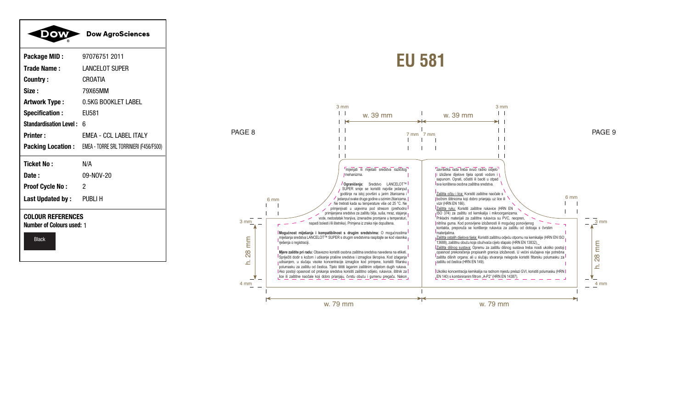|                                                              | <b>Dow AgroSciences</b>                                          |
|--------------------------------------------------------------|------------------------------------------------------------------|
| Package MID:                                                 | 97076751 2011                                                    |
| <b>Trade Name:</b>                                           | <b>LANCELOT SUPER</b>                                            |
| Country:                                                     | CROATIA                                                          |
| Size:                                                        | 79X65MM                                                          |
| <b>Artwork Type:</b>                                         | 0.5KG BOOKLET LABEL                                              |
| <b>Specification:</b>                                        | <b>EU581</b>                                                     |
| Standardisation Level: 6                                     |                                                                  |
| <b>Printer:</b>                                              | <b>EMEA - CCL LABEL ITALY</b>                                    |
|                                                              | <b>Packing Location:</b> EMEA - TORRE SRL TORRINIERI (F456/F500) |
| <b>Ticket No:</b>                                            | N/A                                                              |
| Date :                                                       | 09-NOV-20                                                        |
| <b>Proof Cycle No:</b>                                       | $\overline{2}$                                                   |
| Last Updated by: PUBLI H                                     |                                                                  |
| <b>COLOUR REFERENCES</b><br><b>Number of Colours used: 1</b> |                                                                  |
| <b>Black</b>                                                 |                                                                  |

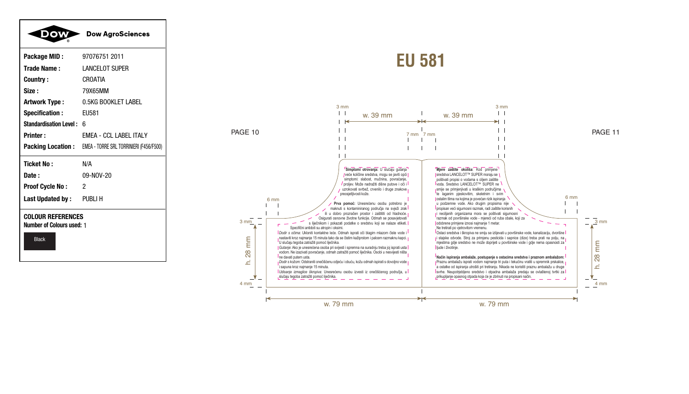| <b>Dow&gt;</b>                                        | <b>Dow AgroSciences</b>                                          |
|-------------------------------------------------------|------------------------------------------------------------------|
| Package MID:                                          | 97076751 2011                                                    |
| <b>Trade Name:</b>                                    | <b>LANCELOT SUPER</b>                                            |
| Country:                                              | CROATIA                                                          |
| Size :                                                | 79X65MM                                                          |
| Artwork Type :                                        | 0.5KG BOOKLET LABEL                                              |
| <b>Specification:</b>                                 | EU581                                                            |
| <b>Standardisation Level: 6</b>                       |                                                                  |
| <b>Printer:</b>                                       | <b>EMEA - CCL LABEL ITALY</b>                                    |
|                                                       | <b>Packing Location:</b> EMEA - TORRE SRL TORRINIERI (F456/F500) |
| <b>Ticket No:</b>                                     | N/A                                                              |
| Date:                                                 | 09-NOV-20                                                        |
| <b>Proof Cycle No:</b>                                | 2                                                                |
| <b>Last Updated by:</b> PUBLI H                       |                                                                  |
| <b>COLOUR REFERENCES</b><br>Number of Colours used: 1 |                                                                  |

Black

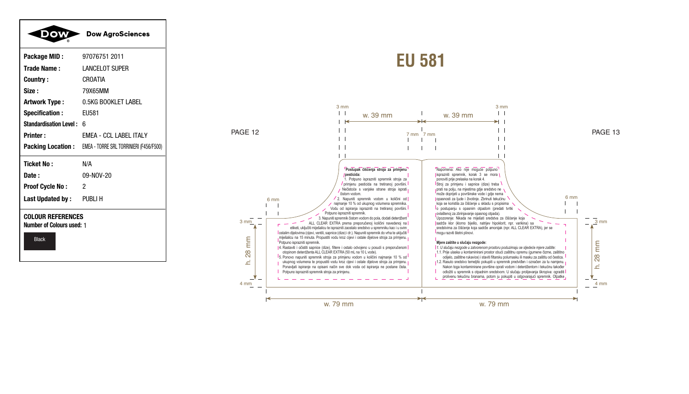

**Ticket No:**  $N/A$ 09-NOV-20 Date: **Proof Cycle No:**  $\overline{2}$ 

PUBLI H

**COLOUR REFERENCES** 

Last Updated by:

**Number of Colours used: 1** 

Black

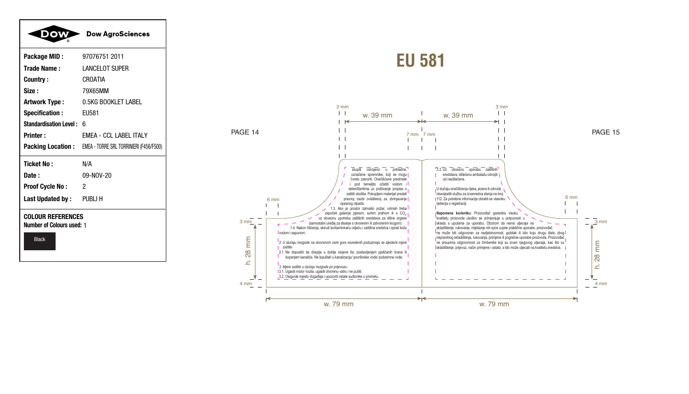|                                                                              | <b>Dow AgroSciences</b>                                   |
|------------------------------------------------------------------------------|-----------------------------------------------------------|
| Package MID:                                                                 | 97076751 2011                                             |
| <b>Trade Name:</b>                                                           | <b>LANCELOT SUPER</b>                                     |
| Country:                                                                     | CROATIA                                                   |
| Size :                                                                       | 79X65MM                                                   |
| Artwork Type :                                                               | 0.5KG BOOKLET LABEL                                       |
| <b>Specification:</b>                                                        | EU581                                                     |
| <b>Standardisation Level:</b>                                                | 6                                                         |
| <b>Printer:</b>                                                              | <b>EMEA - CCL LABEL ITALY</b>                             |
|                                                                              | Packing Location: EMEA - TORRE SRL TORRINIERI (F456/F500) |
| Ticket No:                                                                   | N/A                                                       |
| Date:                                                                        | 09-NOV-20                                                 |
| <b>Proof Cycle No:</b>                                                       | 2                                                         |
| <b>Last Updated by:</b> PUBLI H                                              |                                                           |
| <b>COLOUR REFERENCES</b><br><b>Number of Colours used: 1</b><br><b>Black</b> |                                                           |

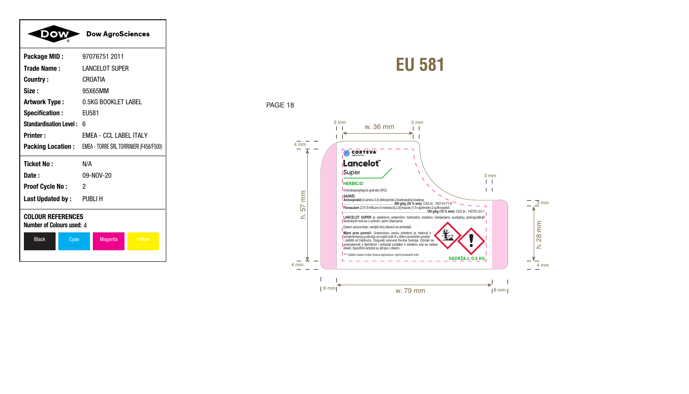